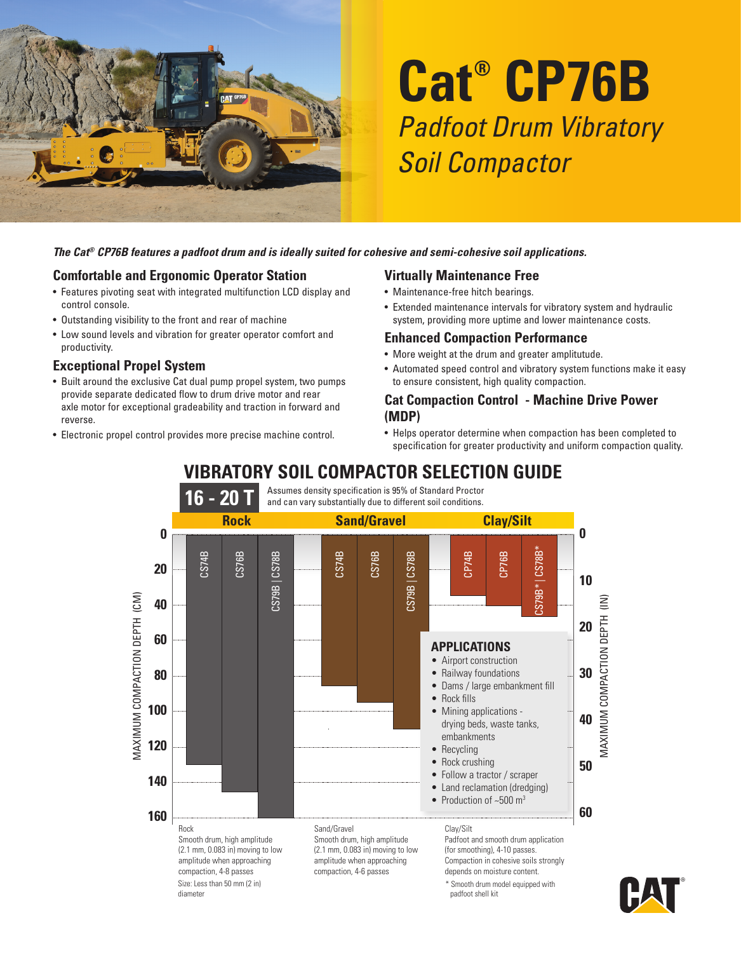

# **Cat® CP76B** Padfoot Drum Vibratory Soil Compactor

#### *The Cat® CP76B features a padfoot drum and is ideally suited for cohesive and semi-cohesive soil applications.*

#### **Comfortable and Ergonomic Operator Station**

- Features pivoting seat with integrated multifunction LCD display and control console.
- Outstanding visibility to the front and rear of machine
- Low sound levels and vibration for greater operator comfort and productivity.

#### **Exceptional Propel System**

- Built around the exclusive Cat dual pump propel system, two pumps provide separate dedicated flow to drum drive motor and rear axle motor for exceptional gradeability and traction in forward and reverse.
- Electronic propel control provides more precise machine control.

#### **Virtually Maintenance Free**

- Maintenance-free hitch bearings.
- Extended maintenance intervals for vibratory system and hydraulic system, providing more uptime and lower maintenance costs.

#### **Enhanced Compaction Performance**

- More weight at the drum and greater amplitutude.
- Automated speed control and vibratory system functions make it easy to ensure consistent, high quality compaction.

#### **Cat Compaction Control - Machine Drive Power (MDP)**

• Helps operator determine when compaction has been completed to specification for greater productivity and uniform compaction quality.

## **VIBRATORY SOIL COMPACTOR SELECTION GUIDE**



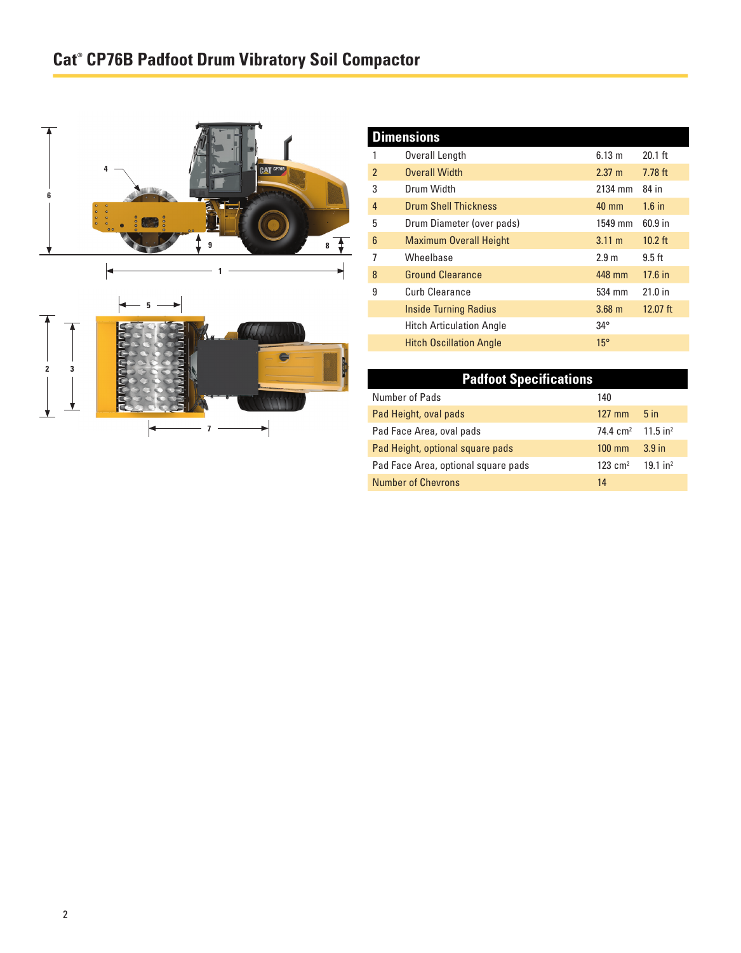# **Cat® CP76B Padfoot Drum Vibratory Soil Compactor**





| <b>Dimensions</b> |                                 |                   |            |  |  |
|-------------------|---------------------------------|-------------------|------------|--|--|
|                   | Overall Length                  | 6.13 m            | $20.1$ ft  |  |  |
| $\mathfrak{p}$    | <b>Overall Width</b>            | $2.37 \text{ m}$  | $7.78$ ft  |  |  |
| 3                 | Drum Width                      | 2134 mm           | 84 in      |  |  |
| $\overline{4}$    | <b>Drum Shell Thickness</b>     | $40 \text{ mm}$   | $1.6$ in   |  |  |
| 5                 | Drum Diameter (over pads)       | 1549 mm           | 60.9 in    |  |  |
| $6\phantom{1}6$   | <b>Maximum Overall Height</b>   | $3.11 \text{ m}$  | $10.2$ ft  |  |  |
| 7                 | Wheelbase                       | 2.9 <sub>m</sub>  | $9.5$ ft   |  |  |
| 8                 | <b>Ground Clearance</b>         | 448 mm            | $17.6$ in  |  |  |
| 9                 | Curb Clearance                  | 534 mm            | $21.0$ in  |  |  |
|                   | <b>Inside Turning Radius</b>    | 3.68 <sub>m</sub> | $12.07$ ft |  |  |
|                   | <b>Hitch Articulation Angle</b> | $34^\circ$        |            |  |  |
|                   | <b>Hitch Oscillation Angle</b>  | $15^\circ$        |            |  |  |

| <b>Padfoot Specifications</b>       |                     |                        |  |
|-------------------------------------|---------------------|------------------------|--|
| Number of Pads                      | 140                 |                        |  |
| Pad Height, oval pads               | $127$ mm            | 5 <sub>in</sub>        |  |
| Pad Face Area, oval pads            | $74.4 \text{ cm}^2$ | $11.5$ in <sup>2</sup> |  |
| Pad Height, optional square pads    | $100 \text{ mm}$    | 3.9 <sub>in</sub>      |  |
| Pad Face Area, optional square pads | $123 \text{ cm}^2$  | $19.1$ in <sup>2</sup> |  |
| <b>Number of Chevrons</b>           | 14                  |                        |  |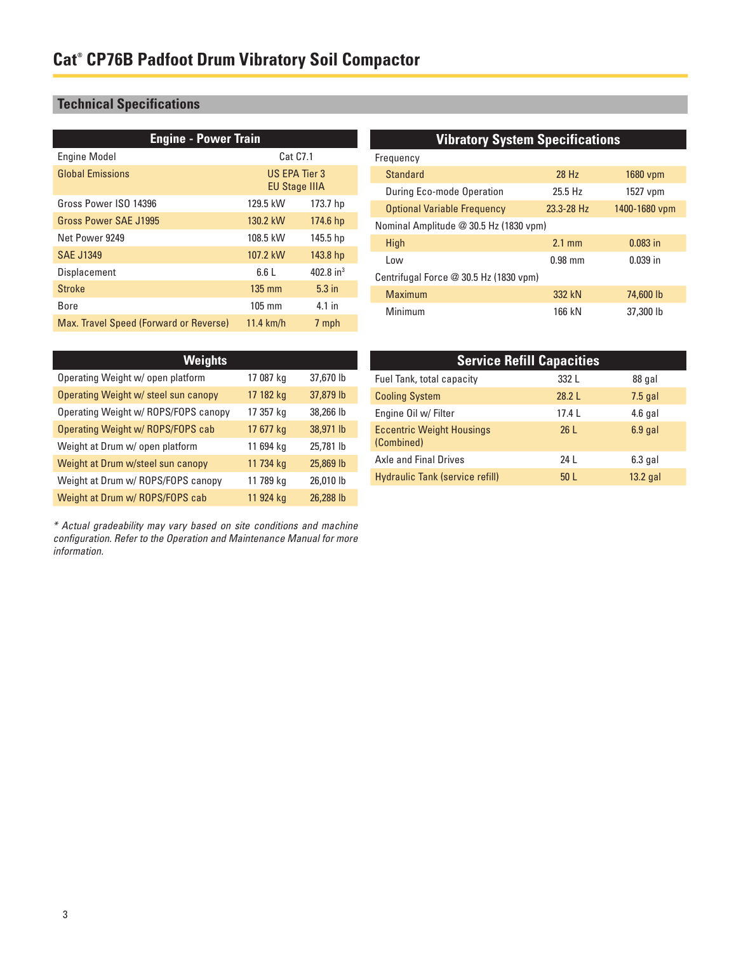## **Technical Specifications**

| <b>Engine - Power Train</b>            |                  |                       | <b>Vibratory System Specifications</b> |                  |               |
|----------------------------------------|------------------|-----------------------|----------------------------------------|------------------|---------------|
| <b>Engine Model</b>                    | Cat C7.1         |                       | Frequency                              |                  |               |
| <b>Global Emissions</b>                | US EPA Tier 3    |                       | <b>Standard</b>                        | 28 Hz            | 1680 vpm      |
| <b>EU Stage IIIA</b>                   |                  |                       | During Eco-mode Operation              | 25.5 Hz          | 1527 vpm      |
| Gross Power ISO 14396                  | 129.5 kW         | 173.7 hp              | <b>Optional Variable Frequency</b>     | 23.3-28 Hz       | 1400-1680 vpm |
| Gross Power SAE J1995                  | 130.2 kW         | 174.6 hp              | Nominal Amplitude @ 30.5 Hz (1830 vpm) |                  |               |
| Net Power 9249                         | 108.5 kW         | 145.5 hp              | High                                   | $2.1 \text{ mm}$ | $0.083$ in    |
| <b>SAE J1349</b>                       | 107.2 kW         | 143.8 hp              | Low                                    | $0.98$ mm        | $0.039$ in    |
| <b>Displacement</b>                    | 6.6L             | 402.8 in <sup>3</sup> | Centrifugal Force @ 30.5 Hz (1830 vpm) |                  |               |
| <b>Stroke</b>                          | $135 \text{ mm}$ | $5.3$ in              | <b>Maximum</b>                         | 332 kN           | 74,600 lb     |
| Bore                                   | $105$ mm         | $4.1$ in              | Minimum                                | 166 kN           | 37,300 lb     |
| Max. Travel Speed (Forward or Reverse) | $11.4$ km/h      | 7 mph                 |                                        |                  |               |

| <b>Weights</b>                       |           |           |  |
|--------------------------------------|-----------|-----------|--|
| Operating Weight w/ open platform    | 17 087 kg | 37,670 lb |  |
| Operating Weight w/ steel sun canopy | 17 182 kg | 37,879 lb |  |
| Operating Weight w/ ROPS/FOPS canopy | 17 357 kg | 38,266 lb |  |
| Operating Weight w/ ROPS/FOPS cab    | 17 677 kg | 38,971 lb |  |
| Weight at Drum w/ open platform      | 11 694 kg | 25,781 lb |  |
| Weight at Drum w/steel sun canopy    | 11 734 kg | 25,869 lb |  |
| Weight at Drum w/ ROPS/FOPS canopy   | 11 789 kg | 26,010 lb |  |
| Weight at Drum w/ ROPS/FOPS cab      | 11 924 kg | 26,288 lb |  |

\* Actual gradeability may vary based on site conditions and machine configuration. Refer to the Operation and Maintenance Manual for more information.

| <b>Service Refill Capacities</b>               |                 |            |  |  |
|------------------------------------------------|-----------------|------------|--|--|
| Fuel Tank, total capacity                      | 332 L           | 88 gal     |  |  |
| <b>Cooling System</b>                          | 28.2L           | $7.5$ gal  |  |  |
| Engine Oil w/ Filter                           | 17.4L           | $4.6$ gal  |  |  |
| <b>Eccentric Weight Housings</b><br>(Combined) | 26L             | $6.9$ gal  |  |  |
| <b>Axle and Final Drives</b>                   | 24 L            | $6.3$ gal  |  |  |
| <b>Hydraulic Tank (service refill)</b>         | 50 <sub>L</sub> | $13.2$ gal |  |  |